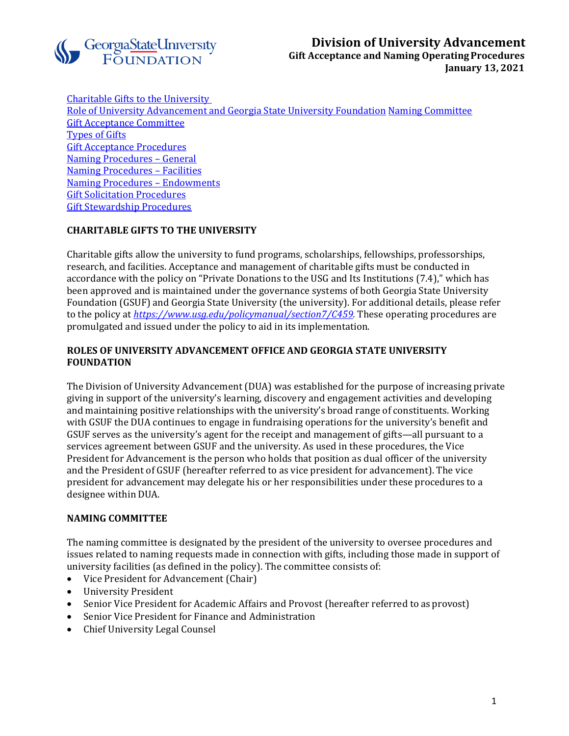

<span id="page-0-3"></span>Charitable Gifts to the University Role of University Advancement [and Georgia State University Foundation](#page-0-0) [Naming Committee](#page-0-1) [Gift Acceptance Committee](#page-0-2) [Types of Gifts](#page-1-0) [Gift Acceptance Procedures](#page-0-3) [Naming Procedures –](#page-6-0) General [Naming Procedures –](#page-7-0) Facilities [Naming Procedures –](#page-11-0) Endowments [Gift Solicitation](#page-13-0) Procedures [Gift Stewardship Procedures](#page-14-0)

# **CHARITABLE GIFTS TO THE UNIVERSITY**

Charitable gifts allow the university to fund programs, scholarships, fellowships, professorships, research, and facilities. Acceptance and management of charitable gifts must be conducted in accordance with the policy on "Private Donations to the USG and Its Institutions (7.4)," which has been approved and is maintained under the governance systems of both Georgia State University Foundation (GSUF) and Georgia State University (the university). For additional details, please refer to the policy at *[https://www.usg.edu/policymanual/section7/C459.](https://www.usg.edu/policymanual/section7/C459)* These operating procedures are promulgated and issued under the policy to aid in its implementation.

# <span id="page-0-0"></span>**ROLES OF UNIVERSITY ADVANCEMENT OFFICE AND GEORGIA STATE UNIVERSITY FOUNDATION**

The Division of University Advancement (DUA) was established for the purpose of increasing private giving in support of the university's learning, discovery and engagement activities and developing and maintaining positive relationships with the university's broad range of constituents. Working with GSUF the DUA continues to engage in fundraising operations for the university's benefit and GSUF serves as the university's agent for the receipt and management of gifts—all pursuant to a services agreement between GSUF and the university. As used in these procedures, the Vice President for Advancement is the person who holds that position as dual officer of the university and the President of GSUF (hereafter referred to as vice president for advancement). The vice president for advancement may delegate his or her responsibilities under these procedures to a designee within DUA.

# <span id="page-0-1"></span>**NAMING COMMITTEE**

The naming committee is designated by the president of the university to oversee procedures and issues related to naming requests made in connection with gifts, including those made in support of university facilities (as defined in the policy). The committee consists of:<br>• Vice President for Advancement (Chair)

- Vice President for Advancement (Chair)
- University President
- Senior Vice President for Academic Affairs and Provost (hereafter referred to as provost)
- Senior Vice President for Finance and Administration
- <span id="page-0-2"></span>• Chief University Legal Counsel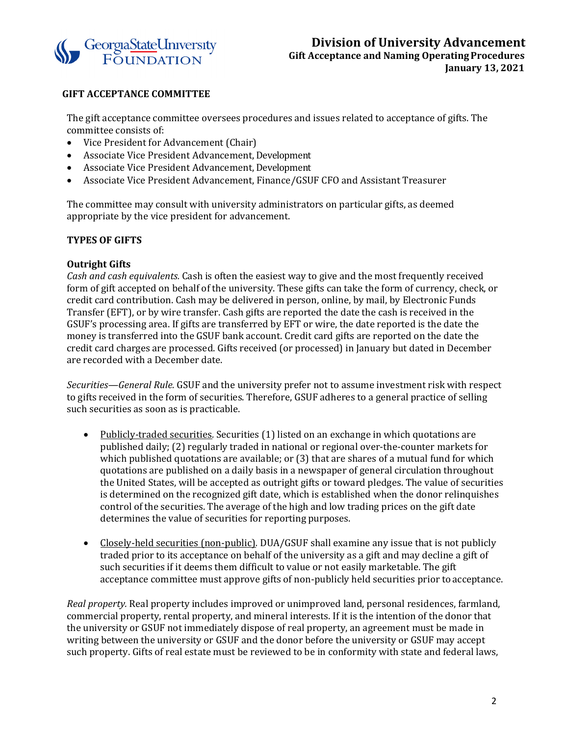

## **GIFT ACCEPTANCE COMMITTEE**

The gift acceptance committee oversees procedures and issues related to acceptance of gifts. The committee consists of:

- Vice President for Advancement (Chair)
- Associate Vice President Advancement, Development
- Associate Vice President Advancement, Development<br>• Associate Vice President Advancement, Finance/GSU
- Associate Vice President Advancement, Finance/GSUF CFO and Assistant Treasurer

The committee may consult with university administrators on particular gifts, as deemed appropriate by the vice president for advancement.

## <span id="page-1-0"></span>**TYPES OF GIFTS**

#### **Outright Gifts**

*Cash and cash equivalents.* Cash is often the easiest way to give and the most frequently received form of gift accepted on behalf of the university. These gifts can take the form of currency, check, or credit card contribution. Cash may be delivered in person, online, by mail, by Electronic Funds Transfer (EFT), or by wire transfer. Cash gifts are reported the date the cash is received in the GSUF's processing area. If gifts are transferred by EFT or wire, the date reported is the date the money is transferred into the GSUF bank account. Credit card gifts are reported on the date the credit card charges are processed. Gifts received (or processed) in January but dated in December are recorded with a December date.

*Securities—General Rule.* GSUF and the university prefer not to assume investment risk with respect to gifts received in the form of securities. Therefore, GSUF adheres to a general practice of selling such securities as soon as is practicable.

- Publicly-traded securities*.* Securities (1) listed on an exchange in which quotations are published daily; (2) regularly traded in national or regional over-the-counter markets for which published quotations are available; or (3) that are shares of a mutual fund for which quotations are published on a daily basis in a newspaper of general circulation throughout the United States, will be accepted as outright gifts or toward pledges. The value of securities is determined on the recognized gift date, which is established when the donor relinquishes control of the securities. The average of the high and low trading prices on the gift date determines the value of securities for reporting purposes.
- Closely-held securities (non-public)*.* DUA/GSUF shall examine any issue that is not publicly traded prior to its acceptance on behalf of the university as a gift and may decline a gift of such securities if it deems them difficult to value or not easily marketable. The gift acceptance committee must approve gifts of non-publicly held securities prior to acceptance.

*Real property.* Real property includes improved or unimproved land, personal residences, farmland, commercial property, rental property, and mineral interests. If it is the intention of the donor that the university or GSUF not immediately dispose of real property, an agreement must be made in writing between the university or GSUF and the donor before the university or GSUF may accept such property. Gifts of real estate must be reviewed to be in conformity with state and federal laws,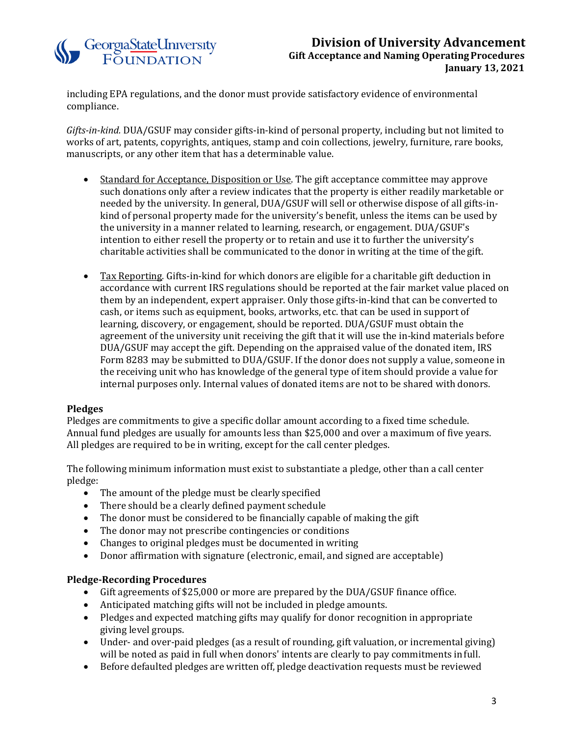# Georgia State University<br>FOUNDATION

# **Division of University Advancement Gift Acceptance and Naming OperatingProcedures January 13, 2021**

including EPA regulations, and the donor must provide satisfactory evidence of environmental compliance.

*Gifts-in-kind.* DUA/GSUF may consider gifts-in-kind of personal property, including but not limited to works of art, patents, copyrights, antiques, stamp and coin collections, jewelry, furniture, rare books, manuscripts, or any other item that has a determinable value.

- Standard for Acceptance, Disposition or Use. The gift acceptance committee may approve such donations only after a review indicates that the property is either readily marketable or needed by the university. In general, DUA/GSUF will sell or otherwise dispose of all gifts-inkind of personal property made for the university's benefit, unless the items can be used by the university in a manner related to learning, research, or engagement. DUA/GSUF's intention to either resell the property or to retain and use it to further the university's charitable activities shall be communicated to the donor in writing at the time of thegift.
- Tax Reporting*.* Gifts-in-kind for which donors are eligible for a charitable gift deduction in accordance with current IRS regulations should be reported at the fair market value placed on them by an independent, expert appraiser. Only those gifts-in-kind that can be converted to cash, or items such as equipment, books, artworks, etc. that can be used in support of learning, discovery, or engagement, should be reported. DUA/GSUF must obtain the agreement of the university unit receiving the gift that it will use the in-kind materials before DUA/GSUF may accept the gift. Depending on the appraised value of the donated item, IRS Form 8283 may be submitted to DUA/GSUF. If the donor does not supply a value, someone in the receiving unit who has knowledge of the general type of item should provide a value for internal purposes only. Internal values of donated items are not to be shared with donors.

# **Pledges**

Pledges are commitments to give a specific dollar amount according to a fixed time schedule. Annual fund pledges are usually for amounts less than \$25,000 and over a maximum of five years. All pledges are required to be in writing, except for the call center pledges.

The following minimum information must exist to substantiate a pledge, other than a call center pledge:

- 
- The amount of the pledge must be clearly specified<br>• There should be a clearly defined payment schedule There should be a clearly defined payment schedule
- The donor must be considered to be financially capable of making the gift<br>• The donor may not prescribe contingencies or conditions
- The donor may not prescribe contingencies or conditions<br>• Changes to original pledges must be documented in writin
- Changes to original pledges must be documented in writing<br>• Donor affirmation with signature (electronic, email, and sign
- Donor affirmation with signature (electronic, email, and signed are acceptable)

#### **Pledge-Recording Procedures**

- Gift agreements of \$25,000 or more are prepared by the DUA/GSUF finance office.
- Anticipated matching gifts will not be included in pledge amounts.
- Pledges and expected matching gifts may qualify for donor recognition in appropriate giving level groups.
- Under- and over-paid pledges (as a result of rounding, gift valuation, or incremental giving) will be noted as paid in full when donors' intents are clearly to pay commitments infull.
- Before defaulted pledges are written off, pledge deactivation requests must be reviewed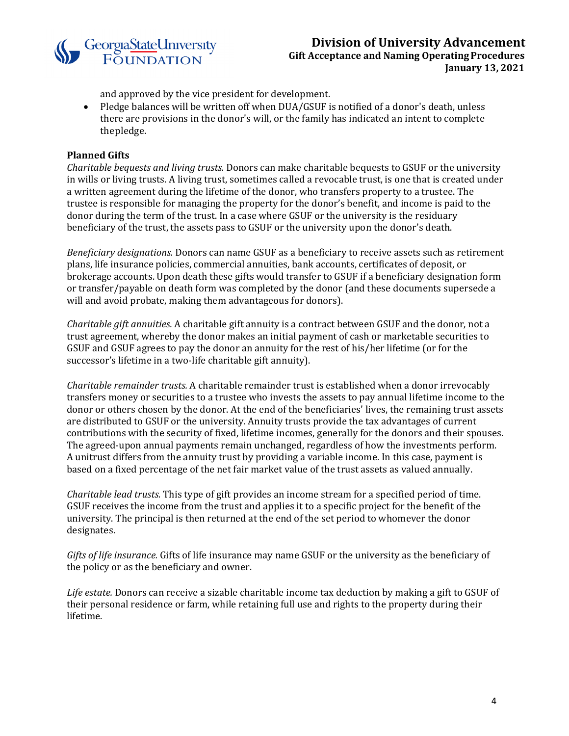

and approved by the vice president for development.

• Pledge balances will be written off when DUA/GSUF is notified of a donor's death, unless there are provisions in the donor's will, or the family has indicated an intent to complete thepledge.

#### **Planned Gifts**

*Charitable bequests and living trusts.* Donors can make charitable bequests to GSUF or the university in wills or living trusts. A living trust, sometimes called a revocable trust, is one that is created under a written agreement during the lifetime of the donor, who transfers property to a trustee. The trustee is responsible for managing the property for the donor's benefit, and income is paid to the donor during the term of the trust. In a case where GSUF or the university is the residuary beneficiary of the trust, the assets pass to GSUF or the university upon the donor's death.

*Beneficiary designations.* Donors can name GSUF as a beneficiary to receive assets such as retirement plans, life insurance policies, commercial annuities, bank accounts, certificates of deposit, or brokerage accounts. Upon death these gifts would transfer to GSUF if a beneficiary designation form or transfer/payable on death form was completed by the donor (and these documents supersede a will and avoid probate, making them advantageous for donors).

*Charitable gift annuities.* A charitable gift annuity is a contract between GSUF and the donor, not a trust agreement, whereby the donor makes an initial payment of cash or marketable securities to GSUF and GSUF agrees to pay the donor an annuity for the rest of his/her lifetime (or for the successor's lifetime in a two-life charitable gift annuity).

*Charitable remainder trusts.* A charitable remainder trust is established when a donor irrevocably transfers money or securities to a trustee who invests the assets to pay annual lifetime income to the donor or others chosen by the donor. At the end of the beneficiaries' lives, the remaining trust assets are distributed to GSUF or the university. Annuity trusts provide the tax advantages of current contributions with the security of fixed, lifetime incomes, generally for the donors and their spouses. The agreed-upon annual payments remain unchanged, regardless of how the investments perform. A unitrust differs from the annuity trust by providing a variable income. In this case, payment is based on a fixed percentage of the net fair market value of the trust assets as valued annually.

*Charitable lead trusts.* This type of gift provides an income stream for a specified period of time. GSUF receives the income from the trust and applies it to a specific project for the benefit of the university. The principal is then returned at the end of the set period to whomever the donor designates.

*Gifts of life insurance.* Gifts of life insurance may name GSUF or the university as the beneficiary of the policy or as the beneficiary and owner.

*Life estate.* Donors can receive a sizable charitable income tax deduction by making a gift to GSUF of their personal residence or farm, while retaining full use and rights to the property during their lifetime.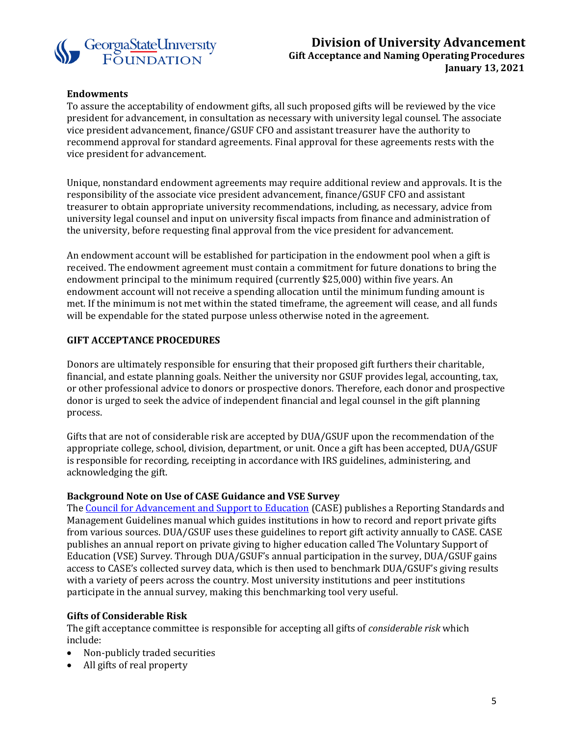

#### **Endowments**

To assure the acceptability of endowment gifts, all such proposed gifts will be reviewed by the vice president for advancement, in consultation as necessary with university legal counsel. The associate vice president advancement, finance/GSUF CFO and assistant treasurer have the authority to recommend approval for standard agreements. Final approval for these agreements rests with the vice president for advancement.

Unique, nonstandard endowment agreements may require additional review and approvals. It is the responsibility of the associate vice president advancement, finance/GSUF CFO and assistant treasurer to obtain appropriate university recommendations, including, as necessary, advice from university legal counsel and input on university fiscal impacts from finance and administration of the university, before requesting final approval from the vice president for advancement.

An endowment account will be established for participation in the endowment pool when a gift is received. The endowment agreement must contain a commitment for future donations to bring the endowment principal to the minimum required (currently \$25,000) within five years. An endowment account will not receive a spending allocation until the minimum funding amount is met. If the minimum is not met within the stated timeframe, the agreement will cease, and all funds will be expendable for the stated purpose unless otherwise noted in the agreement.

#### **GIFT ACCEPTANCE PROCEDURES**

Donors are ultimately responsible for ensuring that their proposed gift furthers their charitable, financial, and estate planning goals. Neither the university nor GSUF provides legal, accounting, tax, or other professional advice to donors or prospective donors. Therefore, each donor and prospective donor is urged to seek the advice of independent financial and legal counsel in the gift planning process.

Gifts that are not of considerable risk are accepted by DUA/GSUF upon the recommendation of the appropriate college, school, division, department, or unit. Once a gift has been accepted, DUA/GSUF is responsible for recording, receipting in accordance with IRS guidelines, administering, and acknowledging the gift.

#### **Background Note on Use of CASE Guidance and VSE Survey**

The [Council for Advancement](http://www.case.org/) and Support to Education (CASE) publishes a Reporting Standards and Management Guidelines manual which guides institutions in how to record and report private gifts from various sources. DUA/GSUF uses these guidelines to report gift activity annually to CASE. CASE publishes an annual report on private giving to higher education called The Voluntary Support of Education (VSE) Survey. Through DUA/GSUF's annual participation in the survey, DUA/GSUF gains access to CASE's collected survey data, which is then used to benchmark DUA/GSUF's giving results with a variety of peers across the country. Most university institutions and peer institutions participate in the annual survey, making this benchmarking tool very useful.

#### **Gifts of Considerable Risk**

The gift acceptance committee is responsible for accepting all gifts of *considerable risk* which include:

- Non-publicly traded securities
- All gifts of real property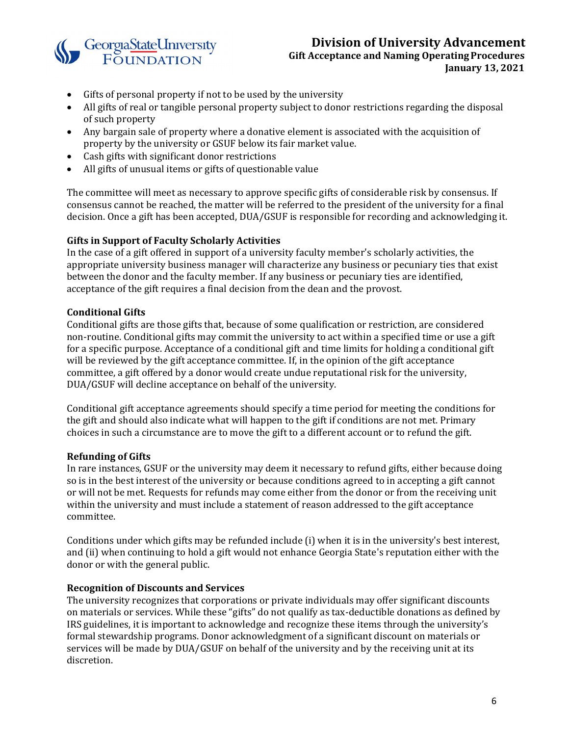

- Gifts of personal property if not to be used by the university
- All gifts of real or tangible personal property subject to donor restrictions regarding the disposal of such property
- Any bargain sale of property where a donative element is associated with the acquisition of property by the university or GSUF below its fair market value.
- Cash gifts with significant donor restrictions
- All gifts of unusual items or gifts of questionable value

The committee will meet as necessary to approve specific gifts of considerable risk by consensus. If consensus cannot be reached, the matter will be referred to the president of the university for a final decision. Once a gift has been accepted, DUA/GSUF is responsible for recording and acknowledging it.

## **Gifts in Support of Faculty Scholarly Activities**

In the case of a gift offered in support of a university faculty member's scholarly activities, the appropriate university business manager will characterize any business or pecuniary ties that exist between the donor and the faculty member. If any business or pecuniary ties are identified, acceptance of the gift requires a final decision from the dean and the provost.

## **Conditional Gifts**

Conditional gifts are those gifts that, because of some qualification or restriction, are considered non-routine. Conditional gifts may commit the university to act within a specified time or use a gift for a specific purpose. Acceptance of a conditional gift and time limits for holding a conditional gift will be reviewed by the gift acceptance committee. If, in the opinion of the gift acceptance committee, a gift offered by a donor would create undue reputational risk for the university, DUA/GSUF will decline acceptance on behalf of the university.

Conditional gift acceptance agreements should specify a time period for meeting the conditions for the gift and should also indicate what will happen to the gift if conditions are not met. Primary choices in such a circumstance are to move the gift to a different account or to refund the gift.

#### **Refunding of Gifts**

In rare instances, GSUF or the university may deem it necessary to refund gifts, either because doing so is in the best interest of the university or because conditions agreed to in accepting a gift cannot or will not be met. Requests for refunds may come either from the donor or from the receiving unit within the university and must include a statement of reason addressed to the gift acceptance committee.

Conditions under which gifts may be refunded include (i) when it is in the university's best interest, and (ii) when continuing to hold a gift would not enhance Georgia State's reputation either with the donor or with the general public.

#### **Recognition of Discounts and Services**

The university recognizes that corporations or private individuals may offer significant discounts on materials or services. While these "gifts" do not qualify as tax-deductible donations as defined by IRS guidelines, it is important to acknowledge and recognize these items through the university's formal stewardship programs. Donor acknowledgment of a significant discount on materials or services will be made by DUA/GSUF on behalf of the university and by the receiving unit at its discretion.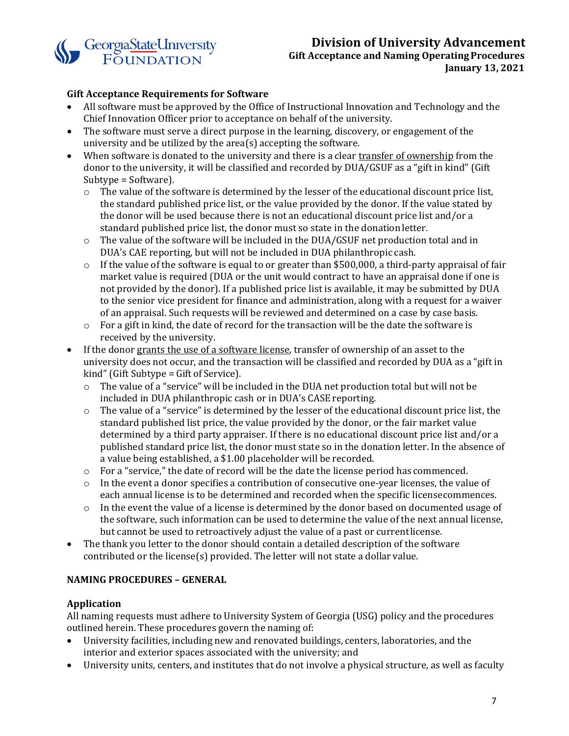

#### **Gift Acceptance Requirements for Software**

- All software must be approved by the Office of Instructional Innovation and Technology and the Chief Innovation Officer prior to acceptance on behalf of the university.
- The software must serve a direct purpose in the learning, discovery, or engagement of the university and be utilized by the area(s) accepting the software.
- When software is donated to the university and there is a clear transfer of ownership from the donor to the university, it will be classified and recorded by DUA/GSUF as a "gift in kind" (Gift Subtype = Software).
	- $\circ$  The value of the software is determined by the lesser of the educational discount price list, the standard published price list, or the value provided by the donor. If the value stated by the donor will be used because there is not an educational discount price list and/or a standard published price list, the donor must so state in the donation letter.
	- $\circ$  The value of the software will be included in the DUA/GSUF net production total and in DUA's CAE reporting, but will not be included in DUA philanthropic cash.
	- $\circ$  If the value of the software is equal to or greater than \$500,000, a third-party appraisal of fair market value is required (DUA or the unit would contract to have an appraisal done if one is not provided by the donor). If a published price list is available, it may be submitted by DUA to the senior vice president for finance and administration, along with a request for a waiver of an appraisal. Such requests will be reviewed and determined on a case by case basis.
	- $\circ$  For a gift in kind, the date of record for the transaction will be the date the software is received by the university.
- If the donor grants the use of a software license, transfer of ownership of an asset to the university does not occur, and the transaction will be classified and recorded by DUA as a "gift in kind" (Gift Subtype = Gift of Service).
	- $\circ$  The value of a "service" will be included in the DUA net production total but will not be included in DUA philanthropic cash or in DUA's CASE reporting.
	- $\circ$  The value of a "service" is determined by the lesser of the educational discount price list, the standard published list price, the value provided by the donor, or the fair market value determined by a third party appraiser. If there is no educational discount price list and/or a published standard price list, the donor must state so in the donation letter. In the absence of a value being established, a \$1.00 placeholder will be recorded.
	- o For a "service," the date of record will be the date the license period has commenced.
	- $\circ$  In the event a donor specifies a contribution of consecutive one-year licenses, the value of each annual license is to be determined and recorded when the specific licensecommences.
	- $\circ$  In the event the value of a license is determined by the donor based on documented usage of the software, such information can be used to determine the value of the next annual license, but cannot be used to retroactively adjust the value of a past or currentlicense.
- The thank you letter to the donor should contain a detailed description of the software contributed or the license(s) provided. The letter will not state a dollar value.

#### <span id="page-6-0"></span>**NAMING PROCEDURES – GENERAL**

#### **Application**

All naming requests must adhere to University System of Georgia (USG) policy and the procedures outlined herein. These procedures govern the naming of:

- University facilities, including new and renovated buildings, centers, laboratories, and the interior and exterior spaces associated with the university; and
- University units, centers, and institutes that do not involve a physical structure, as well as faculty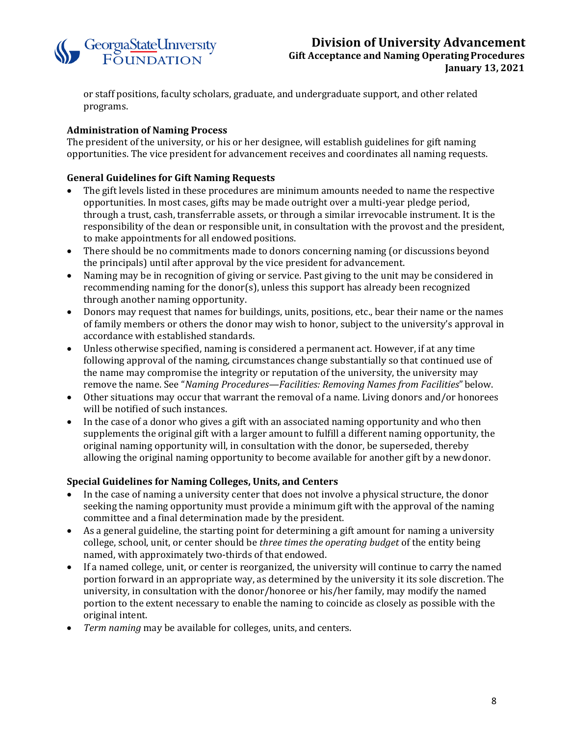

or staff positions, faculty scholars, graduate, and undergraduate support, and other related programs.

# **Administration of Naming Process**

The president of the university, or his or her designee, will establish guidelines for gift naming opportunities. The vice president for advancement receives and coordinates all naming requests.

#### **General Guidelines for Gift Naming Requests**

- The gift levels listed in these procedures are minimum amounts needed to name the respective opportunities. In most cases, gifts may be made outright over a multi-year pledge period, through a trust, cash, transferrable assets, or through a similar irrevocable instrument. It is the responsibility of the dean or responsible unit, in consultation with the provost and the president, to make appointments for all endowed positions.
- There should be no commitments made to donors concerning naming (or discussions beyond the principals) until after approval by the vice president for advancement.
- Naming may be in recognition of giving or service. Past giving to the unit may be considered in recommending naming for the donor(s), unless this support has already been recognized through another naming opportunity.
- Donors may request that names for buildings, units, positions, etc., bear their name or the names of family members or others the donor may wish to honor, subject to the university's approval in accordance with established standards.
- Unless otherwise specified, naming is considered a permanent act. However, if at any time following approval of the naming, circumstances change substantially so that continued use of the name may compromise the integrity or reputation of the university, the university may remove the name. See "*Naming Procedures—Facilities: Removing Names from Facilities*" below.
- Other situations may occur that warrant the removal of a name. Living donors and/or honorees will be notified of such instances.
- In the case of a donor who gives a gift with an associated naming opportunity and who then supplements the original gift with a larger amount to fulfill a different naming opportunity, the original naming opportunity will, in consultation with the donor, be superseded, thereby allowing the original naming opportunity to become available for another gift by a newdonor.

#### **Special Guidelines for Naming Colleges, Units, and Centers**

- In the case of naming a university center that does not involve a physical structure, the donor seeking the naming opportunity must provide a minimum gift with the approval of the naming committee and a final determination made by the president.
- As a general guideline, the starting point for determining a gift amount for naming a university college, school, unit, or center should be *three times the operating budget* of the entity being named, with approximately two-thirds of that endowed.
- If a named college, unit, or center is reorganized, the university will continue to carry the named portion forward in an appropriate way, as determined by the university it its sole discretion. The university, in consultation with the donor/honoree or his/her family, may modify the named portion to the extent necessary to enable the naming to coincide as closely as possible with the original intent.
- <span id="page-7-0"></span>• *Term naming* may be available for colleges, units, and centers.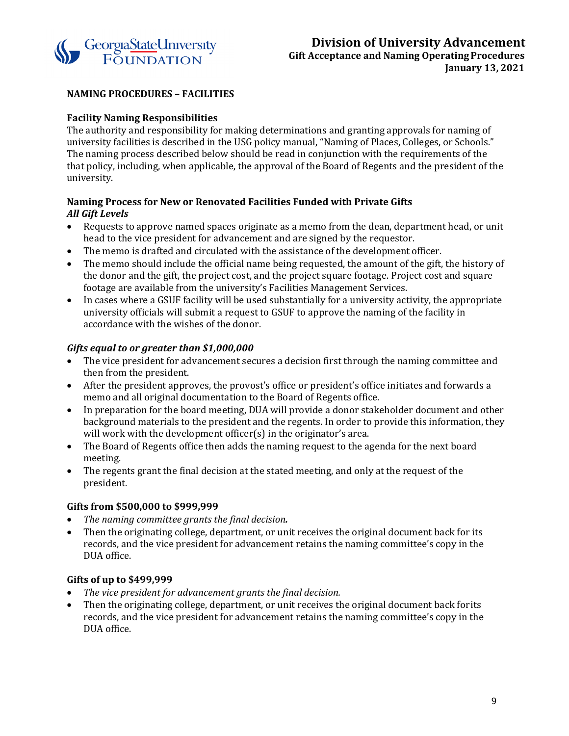

# **NAMING PROCEDURES – FACILITIES**

# **Facility Naming Responsibilities**

The authority and responsibility for making determinations and granting approvals for naming of university facilities is described in the USG policy manual, "Naming of Places, Colleges, or Schools." The naming process described below should be read in conjunction with the requirements of the that policy, including, when applicable, the approval of the Board of Regents and the president of the university.

## **Naming Process for New or Renovated Facilities Funded with Private Gifts** *All Gift Levels*

- Requests to approve named spaces originate as a memo from the dean, department head, or unit head to the vice president for advancement and are signed by the requestor.
- The memo is drafted and circulated with the assistance of the development officer.
- The memo should include the official name being requested, the amount of the gift, the history of the donor and the gift, the project cost, and the project square footage. Project cost and square footage are available from the university's Facilities Management Services.
- In cases where a GSUF facility will be used substantially for a university activity, the appropriate university officials will submit a request to GSUF to approve the naming of the facility in accordance with the wishes of the donor.

# *Gifts equal to or greater than \$1,000,000*

- The vice president for advancement secures a decision first through the naming committee and then from the president.
- After the president approves, the provost's office or president's office initiates and forwards a memo and all original documentation to the Board of Regents office.
- In preparation for the board meeting, DUA will provide a donor stakeholder document and other background materials to the president and the regents. In order to provide this information, they will work with the development officer(s) in the originator's area.
- The Board of Regents office then adds the naming request to the agenda for the next board meeting.
- The regents grant the final decision at the stated meeting, and only at the request of the president.

# **Gifts from \$500,000 to \$999,999**

- *The naming committee grants the final decision.*
- Then the originating college, department, or unit receives the original document back for its records, and the vice president for advancement retains the naming committee's copy in the DUA office.

# **Gifts of up to \$499,999**

- *The vice president for advancement grants the final decision.*
- Then the originating college, department, or unit receives the original document back forits records, and the vice president for advancement retains the naming committee's copy in the DUA office.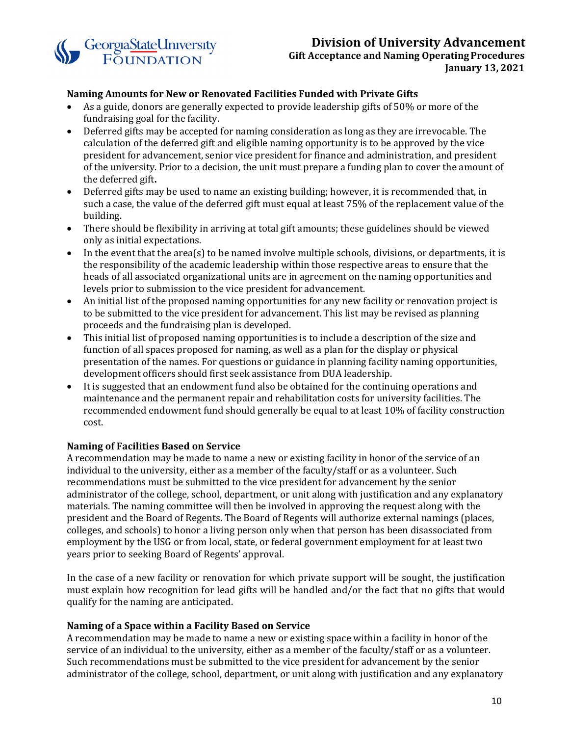

#### **Naming Amounts for New or Renovated Facilities Funded with Private Gifts**

- As a guide, donors are generally expected to provide leadership gifts of 50% or more of the fundraising goal for the facility.
- Deferred gifts may be accepted for naming consideration as long as they are irrevocable. The calculation of the deferred gift and eligible naming opportunity is to be approved by the vice president for advancement, senior vice president for finance and administration, and president of the university. Prior to a decision, the unit must prepare a funding plan to cover the amount of the deferred gift**.**
- Deferred gifts may be used to name an existing building; however, it is recommended that, in such a case, the value of the deferred gift must equal at least 75% of the replacement value of the building.
- There should be flexibility in arriving at total gift amounts; these guidelines should be viewed only as initial expectations.
- In the event that the area(s) to be named involve multiple schools, divisions, or departments, it is the responsibility of the academic leadership within those respective areas to ensure that the heads of all associated organizational units are in agreement on the naming opportunities and levels prior to submission to the vice president for advancement.
- An initial list of the proposed naming opportunities for any new facility or renovation project is to be submitted to the vice president for advancement. This list may be revised as planning proceeds and the fundraising plan is developed.
- This initial list of proposed naming opportunities is to include a description of the size and function of all spaces proposed for naming, as well as a plan for the display or physical presentation of the names. For questions or guidance in planning facility naming opportunities, development officers should first seek assistance from DUA leadership.
- It is suggested that an endowment fund also be obtained for the continuing operations and maintenance and the permanent repair and rehabilitation costs for university facilities. The recommended endowment fund should generally be equal to at least 10% of facility construction cost.

#### **Naming of Facilities Based on Service**

A recommendation may be made to name a new or existing facility in honor of the service of an individual to the university, either as a member of the faculty/staff or as a volunteer. Such recommendations must be submitted to the vice president for advancement by the senior administrator of the college, school, department, or unit along with justification and any explanatory materials. The naming committee will then be involved in approving the request along with the president and the Board of Regents. The Board of Regents will authorize external namings (places, colleges, and schools) to honor a living person only when that person has been disassociated from employment by the USG or from local, state, or federal government employment for at least two years prior to seeking Board of Regents' approval.

In the case of a new facility or renovation for which private support will be sought, the justification must explain how recognition for lead gifts will be handled and/or the fact that no gifts that would qualify for the naming are anticipated.

#### **Naming of a Space within a Facility Based on Service**

A recommendation may be made to name a new or existing space within a facility in honor of the service of an individual to the university, either as a member of the faculty/staff or as a volunteer. Such recommendations must be submitted to the vice president for advancement by the senior administrator of the college, school, department, or unit along with justification and any explanatory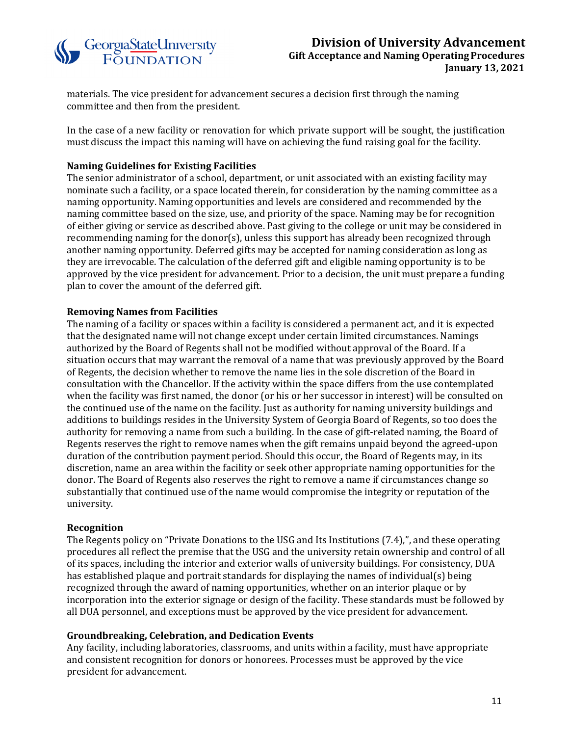

materials. The vice president for advancement secures a decision first through the naming committee and then from the president.

In the case of a new facility or renovation for which private support will be sought, the justification must discuss the impact this naming will have on achieving the fund raising goal for the facility.

## **Naming Guidelines for Existing Facilities**

The senior administrator of a school, department, or unit associated with an existing facility may nominate such a facility, or a space located therein, for consideration by the naming committee as a naming opportunity. Naming opportunities and levels are considered and recommended by the naming committee based on the size, use, and priority of the space. Naming may be for recognition of either giving or service as described above. Past giving to the college or unit may be considered in recommending naming for the donor(s), unless this support has already been recognized through another naming opportunity. Deferred gifts may be accepted for naming consideration as long as they are irrevocable. The calculation of the deferred gift and eligible naming opportunity is to be approved by the vice president for advancement. Prior to a decision, the unit must prepare a funding plan to cover the amount of the deferred gift.

## **Removing Names from Facilities**

The naming of a facility or spaces within a facility is considered a permanent act, and it is expected that the designated name will not change except under certain limited circumstances. Namings authorized by the Board of Regents shall not be modified without approval of the Board. If a situation occurs that may warrant the removal of a name that was previously approved by the Board of Regents, the decision whether to remove the name lies in the sole discretion of the Board in consultation with the Chancellor. If the activity within the space differs from the use contemplated when the facility was first named, the donor (or his or her successor in interest) will be consulted on the continued use of the name on the facility. Just as authority for naming university buildings and additions to buildings resides in the University System of Georgia Board of Regents, so too does the authority for removing a name from such a building. In the case of gift-related naming, the Board of Regents reserves the right to remove names when the gift remains unpaid beyond the agreed-upon duration of the contribution payment period. Should this occur, the Board of Regents may, in its discretion, name an area within the facility or seek other appropriate naming opportunities for the donor. The Board of Regents also reserves the right to remove a name if circumstances change so substantially that continued use of the name would compromise the integrity or reputation of the university.

#### **Recognition**

The Regents policy on "Private Donations to the USG and Its Institutions (7.4),", and these operating procedures all reflect the premise that the USG and the university retain ownership and control of all of its spaces, including the interior and exterior walls of university buildings. For consistency, DUA has established plaque and portrait standards for displaying the names of individual(s) being recognized through the award of naming opportunities, whether on an interior plaque or by incorporation into the exterior signage or design of the facility. These standards must be followed by all DUA personnel, and exceptions must be approved by the vice president for advancement.

#### **Groundbreaking, Celebration, and Dedication Events**

Any facility, including laboratories, classrooms, and units within a facility, must have appropriate and consistent recognition for donors or honorees. Processes must be approved by the vice president for advancement.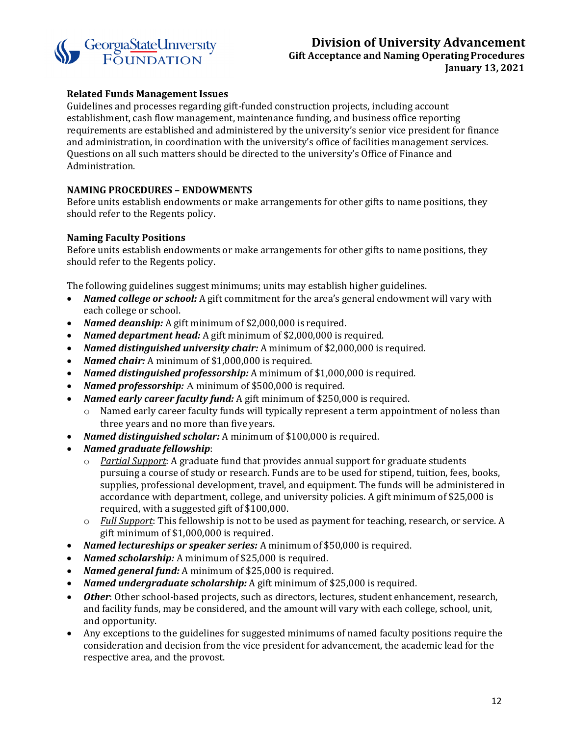

## **Related Funds Management Issues**

Guidelines and processes regarding gift-funded construction projects, including account establishment, cash flow management, maintenance funding, and business office reporting requirements are established and administered by the university's senior vice president for finance and administration, in coordination with the university's office of facilities management services. Questions on all such matters should be directed to the university's Office of Finance and Administration.

## <span id="page-11-0"></span>**NAMING PROCEDURES – ENDOWMENTS**

Before units establish endowments or make arrangements for other gifts to name positions, they should refer to the Regents policy.

#### **Naming Faculty Positions**

Before units establish endowments or make arrangements for other gifts to name positions, they should refer to the Regents policy.

The following guidelines suggest minimums; units may establish higher guidelines.<br>• Named college or school: A gift commitment for the area's general endowment

- *Named college or school:* A gift commitment for the area's general endowment will vary with each college or school.
- *Named deanship:* A gift minimum of \$2,000,000 is required.
- *Named department head:* A gift minimum of \$2,000,000 is required.
- *Named distinguished university chair:* A minimum of \$2,000,000 is required.
- *Named chair:* A minimum of \$1,000,000 is required.
- *Named distinguished professorship:* A minimum of \$1,000,000 is required.
- *Named professorship:* Α minimum of \$500,000 is required.
- *Named early career faculty fund:* A gift minimum of \$250,000 is required.<br>  $\circ$  Named early career faculty funds will typically represent a term appoint
	- Named early career faculty funds will typically represent a term appointment of noless than three years and no more than five years.
- *Named distinguished scholar:* A minimum of \$100,000 is required.
- *Named graduate fellowship*:
	- o *Partial Support*: A graduate fund that provides annual support for graduate students pursuing a course of study or research. Funds are to be used for stipend, tuition, fees, books, supplies, professional development, travel, and equipment. The funds will be administered in accordance with department, college, and university policies. A gift minimum of \$25,000 is required, with a suggested gift of \$100,000.
	- o *Full Support*: This fellowship is not to be used as payment for teaching, research, or service. A gift minimum of \$1,000,000 is required.
- *Named lectureships or speaker series:* A minimum of \$50,000 is required.
- *Named scholarship:* A minimum of \$25,000 is required.
- *Named general fund:* A minimum of \$25,000 is required.
- *Named undergraduate scholarship:* A gift minimum of \$25,000 is required.
- *Other*: Other school-based projects, such as directors, lectures, student enhancement, research, and facility funds, may be considered, and the amount will vary with each college, school, unit, and opportunity.
- Any exceptions to the guidelines for suggested minimums of named faculty positions require the consideration and decision from the vice president for advancement, the academic lead for the respective area, and the provost.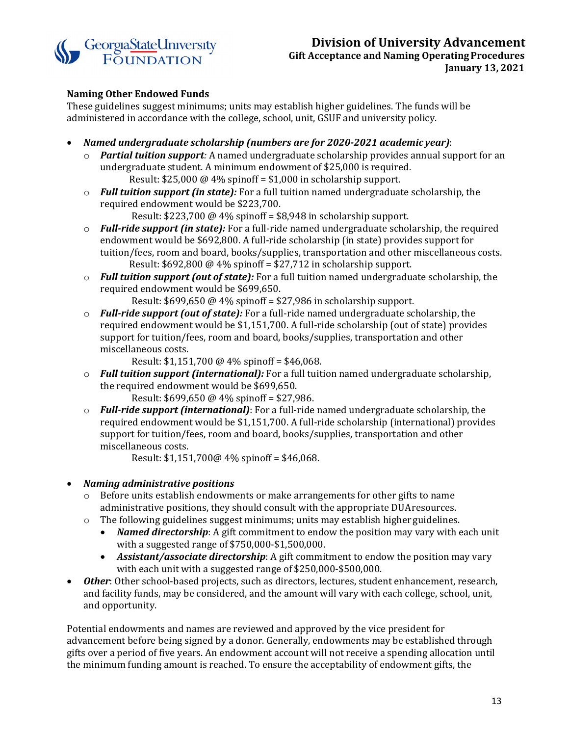

# **Naming Other Endowed Funds**

These guidelines suggest minimums; units may establish higher guidelines. The funds will be administered in accordance with the college, school, unit, GSUF and university policy.

- *Named undergraduate scholarship (numbers are for 2020-2021 academic year)*:
	- o *Partial tuition support:* A named undergraduate scholarship provides annual support for an undergraduate student. A minimum endowment of \$25,000 is required. Result: \$25,000 @ 4% spinoff = \$1,000 in scholarship support.
	- o *Full tuition support (in state):* For a full tuition named undergraduate scholarship, the required endowment would be \$223,700.

Result: \$223,700 @ 4% spinoff = \$8,948 in scholarship support.

- o *Full-ride support (in state):* For a full-ride named undergraduate scholarship, the required endowment would be \$692,800. A full-ride scholarship (in state) provides support for tuition/fees, room and board, books/supplies, transportation and other miscellaneous costs. Result: \$692,800 @ 4% spinoff = \$27,712 in scholarship support.
- o *Full tuition support (out of state):* For a full tuition named undergraduate scholarship, the required endowment would be \$699,650.

Result: \$699,650 @ 4% spinoff = \$27,986 in scholarship support.

o *Full-ride support (out of state):* For a full-ride named undergraduate scholarship, the required endowment would be \$1,151,700. A full-ride scholarship (out of state) provides support for tuition/fees, room and board, books/supplies, transportation and other miscellaneous costs.

Result: \$1,151,700 @ 4% spinoff = \$46,068.

o *Full tuition support (international):* For a full tuition named undergraduate scholarship, the required endowment would be \$699,650.

Result: \$699,650 @ 4% spinoff = \$27,986.

o *Full-ride support (international)*: For a full-ride named undergraduate scholarship, the required endowment would be \$1,151,700. A full-ride scholarship (international) provides support for tuition/fees, room and board, books/supplies, transportation and other miscellaneous costs.

Result: \$1,151,700@ 4% spinoff = \$46,068.

#### • *Naming administrative positions*

- $\circ$  Before units establish endowments or make arrangements for other gifts to name administrative positions, they should consult with the appropriate DUAresources.
- o The following guidelines suggest minimums; units may establish higher guidelines.
	- *Named directorship*: A gift commitment to endow the position may vary with each unit with a suggested range of \$750,000-\$1,500,000.
	- *Assistant/associate directorship*: A gift commitment to endow the position may vary with each unit with a suggested range of \$250,000-\$500,000.
- *Other*: Other school-based projects, such as directors, lectures, student enhancement, research, and facility funds, may be considered, and the amount will vary with each college, school, unit, and opportunity.

Potential endowments and names are reviewed and approved by the vice president for advancement before being signed by a donor. Generally, endowments may be established through gifts over a period of five years. An endowment account will not receive a spending allocation until the minimum funding amount is reached. To ensure the acceptability of endowment gifts, the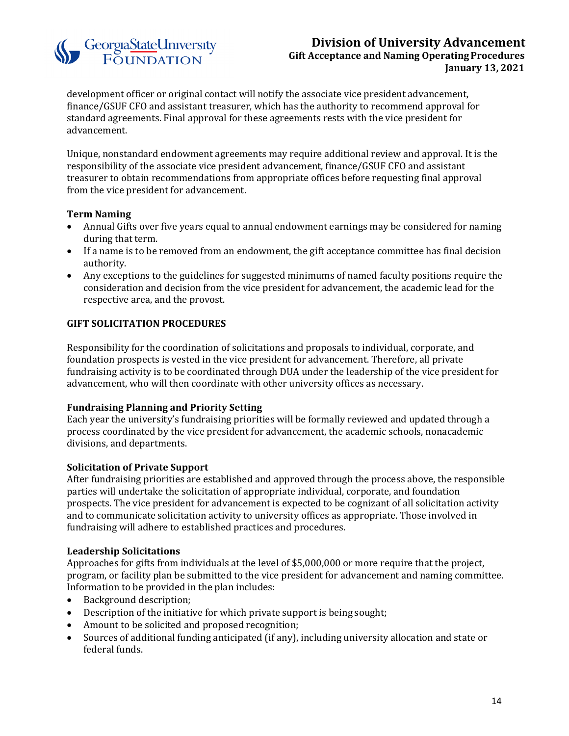# Georgia State University

# **Division of University Advancement Gift Acceptance and Naming OperatingProcedures January 13, 2021**

development officer or original contact will notify the associate vice president advancement, finance/GSUF CFO and assistant treasurer, which has the authority to recommend approval for standard agreements. Final approval for these agreements rests with the vice president for advancement.

Unique, nonstandard endowment agreements may require additional review and approval. It is the responsibility of the associate vice president advancement, finance/GSUF CFO and assistant treasurer to obtain recommendations from appropriate offices before requesting final approval from the vice president for advancement.

# **Term Naming**

- Annual Gifts over five years equal to annual endowment earnings may be considered for naming during that term.
- If a name is to be removed from an endowment, the gift acceptance committee has final decision authority.
- Any exceptions to the guidelines for suggested minimums of named faculty positions require the consideration and decision from the vice president for advancement, the academic lead for the respective area, and the provost.

# <span id="page-13-0"></span>**GIFT SOLICITATION PROCEDURES**

Responsibility for the coordination of solicitations and proposals to individual, corporate, and foundation prospects is vested in the vice president for advancement. Therefore, all private fundraising activity is to be coordinated through DUA under the leadership of the vice president for advancement, who will then coordinate with other university offices as necessary.

# **Fundraising Planning and Priority Setting**

Each year the university's fundraising priorities will be formally reviewed and updated through a process coordinated by the vice president for advancement, the academic schools, nonacademic divisions, and departments.

#### **Solicitation of Private Support**

After fundraising priorities are established and approved through the process above, the responsible parties will undertake the solicitation of appropriate individual, corporate, and foundation prospects. The vice president for advancement is expected to be cognizant of all solicitation activity and to communicate solicitation activity to university offices as appropriate. Those involved in fundraising will adhere to established practices and procedures.

#### **Leadership Solicitations**

Approaches for gifts from individuals at the level of \$5,000,000 or more require that the project, program, or facility plan be submitted to the vice president for advancement and naming committee. Information to be provided in the plan includes:

- Background description;
- Description of the initiative for which private support is being sought;
- Amount to be solicited and proposed recognition;
- Sources of additional funding anticipated (if any), including university allocation and state or federal funds.